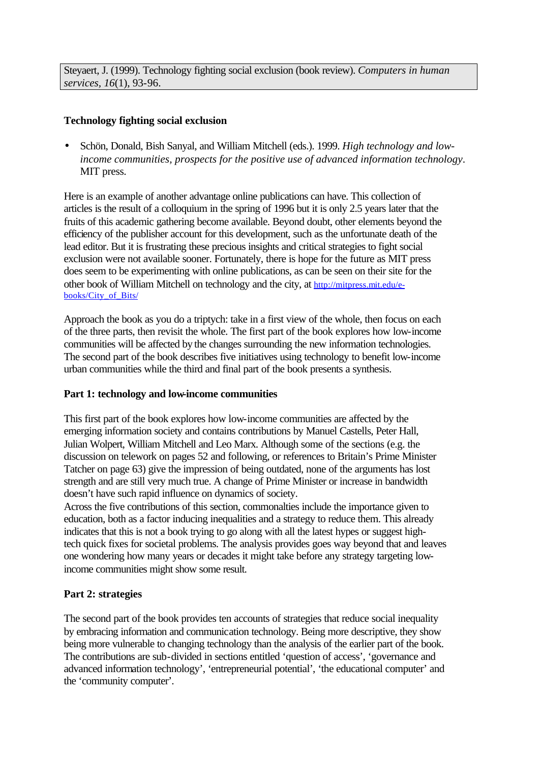Steyaert, J. (1999). Technology fighting social exclusion (book review). *Computers in human services, 16*(1), 93-96.

## **Technology fighting social exclusion**

• Schön, Donald, Bish Sanyal, and William Mitchell (eds.). 1999. *High technology and lowincome communities, prospects for the positive use of advanced information technology*. MIT press.

Here is an example of another advantage online publications can have. This collection of articles is the result of a colloquium in the spring of 1996 but it is only 2.5 years later that the fruits of this academic gathering become available. Beyond doubt, other elements beyond the efficiency of the publisher account for this development, such as the unfortunate death of the lead editor. But it is frustrating these precious insights and critical strategies to fight social exclusion were not available sooner. Fortunately, there is hope for the future as MIT press does seem to be experimenting with online publications, as can be seen on their site for the other book of William Mitchell on technology and the city, at http://mitpress.mit.edu/ebooks/City\_of\_Bits/

Approach the book as you do a triptych: take in a first view of the whole, then focus on each of the three parts, then revisit the whole. The first part of the book explores how low-income communities will be affected by the changes surrounding the new information technologies. The second part of the book describes five initiatives using technology to benefit low-income urban communities while the third and final part of the book presents a synthesis.

## **Part 1: technology and low-income communities**

This first part of the book explores how low-income communities are affected by the emerging information society and contains contributions by Manuel Castells, Peter Hall, Julian Wolpert, William Mitchell and Leo Marx. Although some of the sections (e.g. the discussion on telework on pages 52 and following, or references to Britain's Prime Minister Tatcher on page 63) give the impression of being outdated, none of the arguments has lost strength and are still very much true. A change of Prime Minister or increase in bandwidth doesn't have such rapid influence on dynamics of society.

Across the five contributions of this section, commonalties include the importance given to education, both as a factor inducing inequalities and a strategy to reduce them. This already indicates that this is not a book trying to go along with all the latest hypes or suggest hightech quick fixes for societal problems. The analysis provides goes way beyond that and leaves one wondering how many years or decades it might take before any strategy targeting lowincome communities might show some result.

## **Part 2: strategies**

The second part of the book provides ten accounts of strategies that reduce social inequality by embracing information and communication technology. Being more descriptive, they show being more vulnerable to changing technology than the analysis of the earlier part of the book. The contributions are sub-divided in sections entitled 'question of access', 'governance and advanced information technology', 'entrepreneurial potential', 'the educational computer' and the 'community computer'.